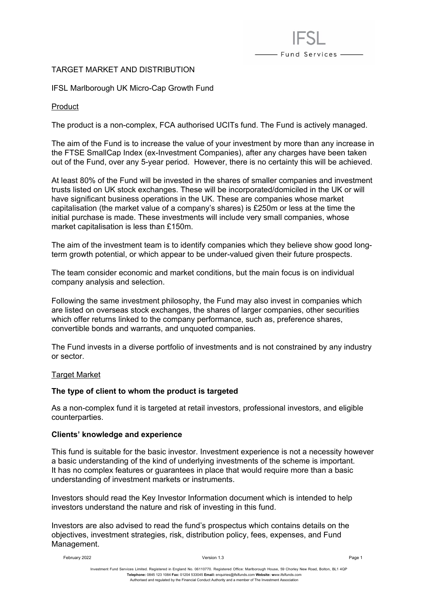# TARGET MARKET AND DISTRIBUTION

IFSL Marlborough UK Micro-Cap Growth Fund

Product

The product is a non-complex, FCA authorised UCITs fund. The Fund is actively managed.

- Fund Services -

The aim of the Fund is to increase the value of your investment by more than any increase in the FTSE SmallCap Index (ex-Investment Companies), after any charges have been taken out of the Fund, over any 5-year period. However, there is no certainty this will be achieved.

At least 80% of the Fund will be invested in the shares of smaller companies and investment trusts listed on UK stock exchanges. These will be incorporated/domiciled in the UK or will have significant business operations in the UK. These are companies whose market capitalisation (the market value of a company's shares) is £250m or less at the time the initial purchase is made. These investments will include very small companies, whose market capitalisation is less than £150m.

The aim of the investment team is to identify companies which they believe show good longterm growth potential, or which appear to be under-valued given their future prospects.

The team consider economic and market conditions, but the main focus is on individual company analysis and selection.

Following the same investment philosophy, the Fund may also invest in companies which are listed on overseas stock exchanges, the shares of larger companies, other securities which offer returns linked to the company performance, such as, preference shares, convertible bonds and warrants, and unquoted companies.

The Fund invests in a diverse portfolio of investments and is not constrained by any industry or sector.

## Target Market

## **The type of client to whom the product is targeted**

As a non-complex fund it is targeted at retail investors, professional investors, and eligible counterparties.

## **Clients' knowledge and experience**

This fund is suitable for the basic investor. Investment experience is not a necessity however a basic understanding of the kind of underlying investments of the scheme is important. It has no complex features or guarantees in place that would require more than a basic understanding of investment markets or instruments.

Investors should read the Key Investor Information document which is intended to help investors understand the nature and risk of investing in this fund.

Investors are also advised to read the fund's prospectus which contains details on the objectives, investment strategies, risk, distribution policy, fees, expenses, and Fund Management.

February 2022 Version 1.3 Page 1

Investment Fund Services Limited. Registered in England No. 06110770. Registered Office: Marlborough House, 59 Chorley New Road, Bolton, BL1 4QP **Telephone:** 0845 123 1084 **Fax:** 01204 533045 **Email:** [enquiries@ifslfunds.com](mailto:enquiries@ifslfunds.com) **Website: w**ww.ifslfunds.com Authorised and regulated by the Financial Conduct Authority and a member of The Investment Association